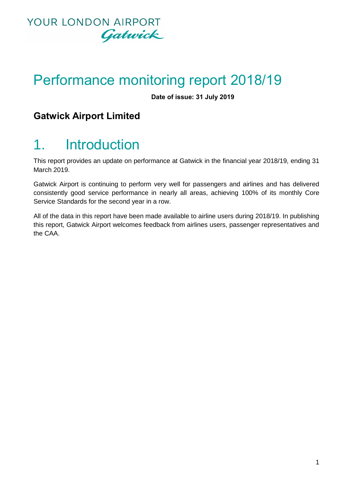

# Performance monitoring report 2018/19

**Date of issue: 31 July 2019**

### **Gatwick Airport Limited**

# 1. Introduction

This report provides an update on performance at Gatwick in the financial year 2018/19, ending 31 March 2019.

Gatwick Airport is continuing to perform very well for passengers and airlines and has delivered consistently good service performance in nearly all areas, achieving 100% of its monthly Core Service Standards for the second year in a row.

All of the data in this report have been made available to airline users during 2018/19. In publishing this report, Gatwick Airport welcomes feedback from airlines users, passenger representatives and the CAA.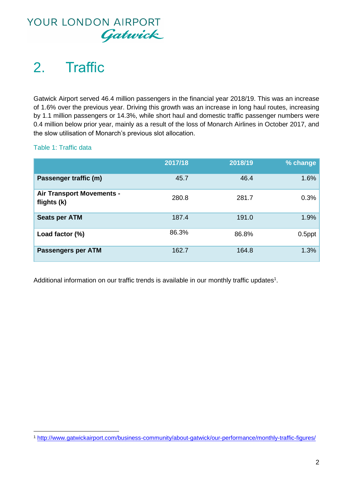

# 2. Traffic

Gatwick Airport served 46.4 million passengers in the financial year 2018/19. This was an increase of 1.6% over the previous year. Driving this growth was an increase in long haul routes, increasing by 1.1 million passengers or 14.3%, while short haul and domestic traffic passenger numbers were 0.4 million below prior year, mainly as a result of the loss of Monarch Airlines in October 2017, and the slow utilisation of Monarch's previous slot allocation.

Table 1: Traffic data

|                                                 | 2017/18 | 2018/19 | % change  |
|-------------------------------------------------|---------|---------|-----------|
| Passenger traffic (m)                           | 45.7    | 46.4    | 1.6%      |
| <b>Air Transport Movements -</b><br>flights (k) | 280.8   | 281.7   | 0.3%      |
| <b>Seats per ATM</b>                            | 187.4   | 191.0   | 1.9%      |
| Load factor (%)                                 | 86.3%   | 86.8%   | $0.5$ ppt |
| <b>Passengers per ATM</b>                       | 162.7   | 164.8   | 1.3%      |

Additional information on our traffic trends is available in our monthly traffic updates<sup>1</sup>.

**<sup>.</sup>** <sup>1</sup> <http://www.gatwickairport.com/business-community/about-gatwick/our-performance/monthly-traffic-figures/>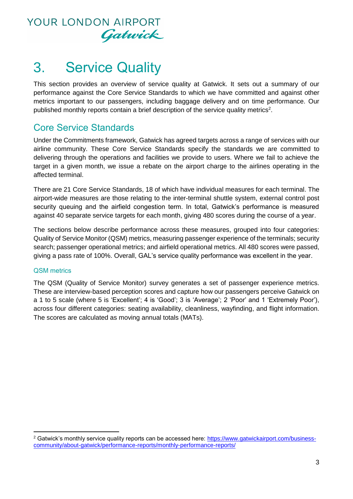

# 3. Service Quality

This section provides an overview of service quality at Gatwick. It sets out a summary of our performance against the Core Service Standards to which we have committed and against other metrics important to our passengers, including baggage delivery and on time performance. Our published monthly reports contain a brief description of the service quality metrics<sup>2</sup>.

### Core Service Standards

Under the Commitments framework, Gatwick has agreed targets across a range of services with our airline community. These Core Service Standards specify the standards we are committed to delivering through the operations and facilities we provide to users. Where we fail to achieve the target in a given month, we issue a rebate on the airport charge to the airlines operating in the affected terminal.

There are 21 Core Service Standards, 18 of which have individual measures for each terminal. The airport-wide measures are those relating to the inter-terminal shuttle system, external control post security queuing and the airfield congestion term. In total, Gatwick's performance is measured against 40 separate service targets for each month, giving 480 scores during the course of a year.

The sections below describe performance across these measures, grouped into four categories: Quality of Service Monitor (QSM) metrics, measuring passenger experience of the terminals; security search; passenger operational metrics; and airfield operational metrics. All 480 scores were passed, giving a pass rate of 100%. Overall, GAL's service quality performance was excellent in the year.

#### QSM metrics

1

The QSM (Quality of Service Monitor) survey generates a set of passenger experience metrics. These are interview-based perception scores and capture how our passengers perceive Gatwick on a 1 to 5 scale (where 5 is 'Excellent'; 4 is 'Good'; 3 is 'Average'; 2 'Poor' and 1 'Extremely Poor'), across four different categories: seating availability, cleanliness, wayfinding, and flight information. The scores are calculated as moving annual totals (MATs).

<sup>&</sup>lt;sup>2</sup> Gatwick's monthly service quality reports can be accessed here: https://www.gatwickairport.com/businesscommunity/about-gatwick/performance-reports/monthly-performance-reports/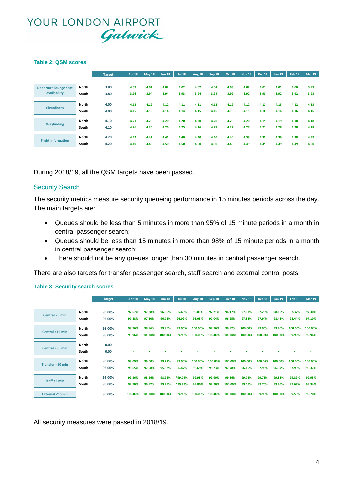#### **Table 2: QSM scores**

|                           |              | <b>Target</b> | Apr 18 | <b>May 18</b> | <b>Jun 18</b> | <b>Jul 18</b> | <b>Aug 18</b> | <b>Sep 18</b> | <b>Oct 18</b> | <b>Nov 18</b> | <b>Dec 18</b> | <b>Jan 19</b> | Feb 19 | <b>Mar 19</b> |
|---------------------------|--------------|---------------|--------|---------------|---------------|---------------|---------------|---------------|---------------|---------------|---------------|---------------|--------|---------------|
|                           |              |               |        |               |               |               |               |               |               |               |               |               |        |               |
| Departure lounge seat     | North        | 3.80          | 4.02   | 4.01          | 4.02          | 4.02          | 4.02          | 4.04          | 4.03          | 4.02          | 4.01          | 4.01          | 4.00   | 3.99          |
| availability              | South        | 3.80          | 3.96   | 3.94          | 3.94          | 3.93          | 3.94          | 3.94          | 3.92          | 3.92          | 3.93          | 3.92          | 3.92   | 3.93          |
|                           |              |               |        |               |               |               |               |               |               |               |               |               |        |               |
| <b>Cleanliness</b>        | <b>North</b> | 4.00          | 4.13   | 4.12          | 4.12          | 4.11          | 4.11          | 4.12          | 4.12          | 4.12          | 4.12          | 4.13          | 4.12   | 4.13          |
|                           | South        | 4.00          | 4.15   | 4.15          | 4.14          | 4.14          | 4.15          | 4.16          | 4.16          | 4.15          | 4.16          | 4.16          | 4.16   | 4.16          |
|                           | <b>North</b> | 4.10          | 4.21   | 4.20          | 4.20          | 4.20          | 4.20          | 4.20          | 4.20          | 4.20          | 4.19          | 4.19          | 4.18   | 4.18          |
| <b>Wayfinding</b>         | South        | 4.10          | 4.26   | 4.26          | 4.26          | 4.25          | 4.26          | 4.27          | 4.27          | 4.27          | 4.27          | 4.28          | 4.28   | 4.28          |
|                           |              |               |        |               |               |               |               |               |               |               |               |               |        |               |
| <b>Flight information</b> | <b>North</b> | 4.20          | 4.42   | 4.41          | 4.41          | 4.40          | 4.40          | 4.40          | 4.40          | 4.39          | 4.39          | 4.39          | 4.38   | 4.39          |
|                           | South        | 4.20          | 4.49   | 4.49          | 4.50          | 4.50          | 4.50          | 4.50          | 4.49          | 4.49          | 4.49          | 4.49          | 4.49   | 4.50          |

During 2018/19, all the QSM targets have been passed.

#### Security Search

The security metrics measure security queueing performance in 15 minutes periods across the day. The main targets are:

- Queues should be less than 5 minutes in more than 95% of 15 minute periods in a month in central passenger search;
- Queues should be less than 15 minutes in more than 98% of 15 minute periods in a month in central passenger search;
- There should not be any queues longer than 30 minutes in central passenger search.

There are also targets for transfer passenger search, staff search and external control posts.

#### **Table 3: Security search scores**

|                           |              | <b>Target</b> | <b>Apr 18</b> | <b>May 18</b> | <b>Jun 18</b> | <b>Jul 18</b> | <b>Aug 18</b> | Sep 18  | <b>Oct 18</b> | <b>Nov 18</b> | <b>Dec 18</b> | <b>Jan 19</b> | <b>Feb 19</b> | <b>Mar 19</b> |
|---------------------------|--------------|---------------|---------------|---------------|---------------|---------------|---------------|---------|---------------|---------------|---------------|---------------|---------------|---------------|
|                           |              |               |               |               |               |               |               |         |               |               |               |               |               |               |
| Central <5 min            | <b>North</b> | 95.00%        | 97.67%        | 97.38%        | 96.50%        | 95.69%        | 95.81%        | 97.21%  | 96.17%        | 97.67%        | 97.26%        | 98.19%        | 97.37%        | 97.30%        |
|                           | South        | 95.00%        | 97.88%        | 97.10%        | 96.71%        | 96.09%        | 96.05%        | 97.04%  | 96.25%        | 97.88%        | 97.94%        | 98.43%        | 98.44%        | 97.10%        |
|                           | <b>North</b> | 98.00%        | 99.96%        | 99.96%        | 99.96%        | 99.96%        | 100.00%       | 99.96%  | 99.92%        | 100.00%       | 99.96%        | 99.96%        | 100.00%       | 100.00%       |
| Central <15 min           | South        | 98.00%        | 99.96%        | 100.00%       | 100.00%       | 99.96%        | 100.00%       | 100.00% | 100.00%       | 100.00%       | 100.00%       | 100.00%       | 99.96%        | 99.96%        |
|                           | North        | 0.00          |               |               |               |               |               |         |               |               |               |               |               |               |
| Central >30 min           | South        | 0.00          |               |               |               |               |               |         |               |               |               |               |               |               |
|                           |              |               |               |               |               |               |               |         |               |               |               |               |               |               |
| Transfer <10 min          | North        | 95.00%        | 99.09%        | 99.60%        | 99.27%        | 99.90%        | 100.00%       | 100.00% | 100.00%       | 100.00%       | 100.00%       | 100.00%       | 100.00%       | 100.00%       |
|                           | South        | 95.00%        | 98.65%        | 97.98%        | 95.52%        | 96.47%        | 98.69%        | 98.23%  | 97.78%        | 96.15%        | 97.98%        | 96.37%        | 97.99%        | 96.37%        |
|                           | North        | 95.00%        | 99.56%        | 98.26%        | 98.92%        | *99.74%       | 99.95%        | 99.90%  | 99.86%        | 99.75%        | 99.76%        | 99.81%        | 99.89%        | 99.95%        |
| Staff <5 min              |              |               | 99.90%        | 99.92%        | 99.79%        | *99.79%       | 99.80%        | 99.90%  | 100.00%       | 99.69%        | 99.70%        | 99.95%        | 99.67%        | 99.34%        |
|                           | South        | 95.00%        |               |               |               |               |               |         |               |               |               |               |               |               |
| <b>External &lt;15min</b> |              | 95.00%        | 100.00%       | 100.00%       | 100.00%       | 99.90%        | 100.00%       | 100.00% | 100.00%       | 100.00%       | 99.90%        | 100.00%       | 99.55%        | 99.70%        |

All security measures were passed in 2018/19.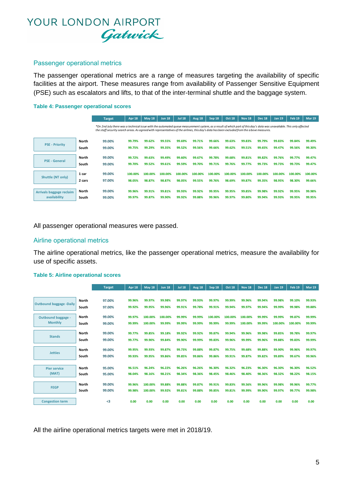#### Passenger operational metrics

The passenger operational metrics are a range of measures targeting the availability of specific facilities at the airport. These measures range from availability of Passenger Sensitive Equipment (PSE) such as escalators and lifts, to that of the inter-terminal shuttle and the baggage system.

#### **Table 4: Passenger operational scores**

|                                          |                       | <b>Target</b>                                                                                                                                                                                                                                                                                                          | Apr 18           | <b>May 18</b>    | <b>Jun 18</b>    | <b>Jul 18</b>    | <b>Aug 18</b>    | Sep 18           | <b>Oct 18</b>    | <b>Nov 18</b>    | <b>Dec 18</b>    | <b>Jan 19</b>    | <b>Feb 19</b>    | <b>Mar 19</b>    |
|------------------------------------------|-----------------------|------------------------------------------------------------------------------------------------------------------------------------------------------------------------------------------------------------------------------------------------------------------------------------------------------------------------|------------------|------------------|------------------|------------------|------------------|------------------|------------------|------------------|------------------|------------------|------------------|------------------|
|                                          |                       | *On 2nd July there was a technical issue with the automated queue measurement system, as a result of which part of this day's data was unavailable. This only affected<br>the staff security search areas. As agreed with representatives of the airlines, this day's data has been excluded from the a bove measures. |                  |                  |                  |                  |                  |                  |                  |                  |                  |                  |                  |                  |
|                                          | North                 | 99.00%                                                                                                                                                                                                                                                                                                                 | 99.79%           | 99.62%           | 99.55%           | 99.69%           | 99.71%           | 99.66%           | 99.63%           | 99.83%           | 99.79%           | 99.83%           | 99.84%           | 99.49%           |
| <b>PSE - Priority</b>                    | South                 | 99.00%                                                                                                                                                                                                                                                                                                                 | 99.75%           | 99.29%           | 99.35%           | 99.52%           | 99.56%           | 99.66%           | 99.62%           | 99.51%           | 99.65%           | 99.47%           | 99.56%           | 99.30%           |
| <b>PSE - General</b>                     | North                 | 99.00%                                                                                                                                                                                                                                                                                                                 | 99.72%           | 99.63%           | 99.49%           | 99.60%           | 99.67%           | 99.78%           | 99.68%           | 99.81%           | 99.82%           | 99.76%           | 99.77%           | 99.47%           |
|                                          | South                 | 99.00%                                                                                                                                                                                                                                                                                                                 | 99.70%           | 99.52%           | 99.61%           | 99.59%           | 99.70%           | 99.71%           | 99.76%           | 99.77%           | 99.73%           | 99.73%           | 99.73%           | 99.47%           |
| Shuttle (NT only)                        | 1 car                 | 99.00%                                                                                                                                                                                                                                                                                                                 | 100.00%          | 100.00%          | 100.00%          | 100.00%          | 100.00%          | 100.00%          | 100.00%          | 100.00%          | 100.00%          | 100.00%          | 100.00%          | 100.00%          |
|                                          | 2 cars                | 97.00%                                                                                                                                                                                                                                                                                                                 | 98.05%           | 98.87%           | 98.87%           | 98.05%           | 99.55%           | 99.76%           | 98.69%           | 99.87%           | 99.35%           | 98.95%           | 98.30%           | 99.66%           |
| Arrivals baggage reclaim<br>availability | <b>North</b><br>South | 99.00%<br>99.00%                                                                                                                                                                                                                                                                                                       | 99.96%<br>99.97% | 99.91%<br>99.87% | 99.81%<br>99.90% | 99.93%<br>99.92% | 99.92%<br>99.88% | 99.95%<br>99.96% | 99.95%<br>99.97% | 99.85%<br>99.80% | 99.98%<br>99.94% | 99.92%<br>99.93% | 99.95%<br>99.95% | 99.98%<br>99.95% |

All passenger operational measures were passed.

#### Airline operational metrics

The airline operational metrics, like the passenger operational metrics, measure the availability for use of specific assets.

#### **Table 5: Airline operational scores**

|                                |              | <b>Target</b> | Apr 18 | May 18  | <b>Jun 18</b> | <b>Jul 18</b> | <b>Aug 18</b> | Sep 18  | Oct 18  | <b>Nov 18</b> | <b>Dec 18</b> | <b>Jan 19</b> | Feb <sub>19</sub> | <b>Mar 19</b> |
|--------------------------------|--------------|---------------|--------|---------|---------------|---------------|---------------|---------|---------|---------------|---------------|---------------|-------------------|---------------|
|                                |              |               |        |         |               |               |               |         |         |               |               |               |                   |               |
| <b>Outbound baggage -Daily</b> | <b>North</b> | 97.00%        | 99.96% | 99.97%  | 99.98%        | 99.97%        | 99.93%        | 99.97%  | 99.99%  | 99.96%        | 99.94%        | 99.98%        | 99.10%            | 99.93%        |
|                                | South        | 97.00%        | 99.92% | 99.95%  | 99.96%        | 99.91%        | 99.78%        | 99.91%  | 99.94%  | 99.97%        | 99.94%        | 99.99%        | 99.98%            | 99.88%        |
| Outbound baggage -             | North        | 99.00%        | 99.97% | 100.00% | 100.00%       | 99.99%        | 99.99%        | 100.00% | 100.00% | 100.00%       | 99.99%        | 99.99%        | 99.87%            | 99.99%        |
| <b>Monthly</b>                 | South        | 99.00%        | 99.99% | 100.00% | 99.99%        | 99.99%        | 99.99%        | 99.99%  | 99.99%  | 100.00%       | 99.99%        | 100.00%       | 100.00%           | 99.99%        |
|                                |              |               |        |         |               |               |               |         |         |               |               |               |                   |               |
| <b>Stands</b>                  | <b>North</b> | 99.00%        | 99.77% | 99.85%  | 99.18%        | 99.92%        | 99.92%        | 99.87%  | 99.94%  | 99.96%        | 99.98%        | 99.85%        | 99.78%            | 99.97%        |
|                                | South        | 99.00%        | 99.77% | 99.90%  | 99.84%        | 99.90%        | 99.99%        | 99.83%  | 99.96%  | 99.99%        | 99.96%        | 99.88%        | 99.83%            | 99.99%        |
|                                | <b>North</b> | 99.00%        | 99.95% | 99.93%  | 99.87%        | 99.73%        | 99.88%        | 99.87%  | 99.75%  | 99.68%        | 99.88%        | 99.90%        | 99.96%            | 99.97%        |
| <b>Jetties</b>                 | South        | 99.00%        | 99.93% | 99.95%  | 99.86%        | 99.85%        | 99.86%        | 99.86%  | 99.91%  | 99.87%        | 99.82%        | 99.89%        | 99.67%            | 99.96%        |
|                                |              |               |        |         |               |               |               |         |         |               |               |               |                   |               |
| <b>Pier service</b>            | <b>North</b> | 95.00%        | 96.51% | 96.24%  | 96.22%        | 96.26%        | 96.26%        | 96.30%  | 96.32%  | 96.23%        | 96.30%        | 96.30%        | 96.30%            | 96.52%        |
| (MAT)                          | South        | 95.00%        | 98.04% | 98.16%  | 98.21%        | 98.34%        | 98.36%        | 98.45%  | 98.46%  | 98.40%        | 98.36%        | 98.32%        | 98.22%            | 98.15%        |
|                                |              |               |        |         |               |               |               |         |         |               |               |               |                   |               |
| <b>FEGP</b>                    | North        | 99.00%        | 99.96% | 100.00% | 99.88%        | 99.88%        | 99.87%        | 99.91%  | 99.83%  | 99.56%        | 99.96%        | 99.98%        | 99.96%            | 99.77%        |
|                                | South        | 99.00%        | 99.98% | 100.00% | 99.92%        | 99.81%        | 99.88%        | 99.85%  | 99.81%  | 99.99%        | 99.90%        | 99.97%        | 99.77%            | 99.98%        |
| <b>Congestion term</b>         |              | $3$           | 0.00   | 0.00    | 0.00          | 0.00          | 0.00          | 0.00    | 0.00    | 0.00          | 0.00          | 0.00          | 0.00              | 0.00          |

All the airline operational metrics targets were met in 2018/19.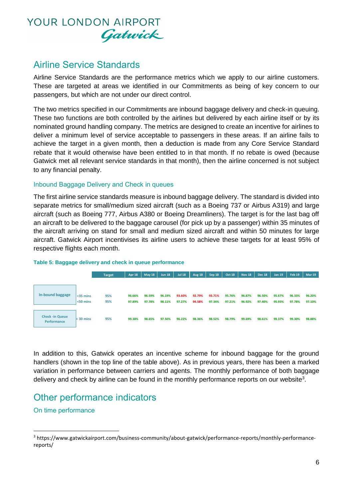

### Airline Service Standards

Airline Service Standards are the performance metrics which we apply to our airline customers. These are targeted at areas we identified in our Commitments as being of key concern to our passengers, but which are not under our direct control.

The two metrics specified in our Commitments are inbound baggage delivery and check-in queuing. These two functions are both controlled by the airlines but delivered by each airline itself or by its nominated ground handling company. The metrics are designed to create an incentive for airlines to deliver a minimum level of service acceptable to passengers in these areas. If an airline fails to achieve the target in a given month, then a deduction is made from any Core Service Standard rebate that it would otherwise have been entitled to in that month. If no rebate is owed (because Gatwick met all relevant service standards in that month), then the airline concerned is not subject to any financial penalty.

#### Inbound Baggage Delivery and Check in queues

The first airline service standards measure is inbound baggage delivery. The standard is divided into separate metrics for small/medium sized aircraft (such as a Boeing 737 or Airbus A319) and large aircraft (such as Boeing 777, Airbus A380 or Boeing Dreamliners). The target is for the last bag off an aircraft to be delivered to the baggage carousel (for pick up by a passenger) within 35 minutes of the aircraft arriving on stand for small and medium sized aircraft and within 50 minutes for large aircraft. Gatwick Airport incentivises its airline users to achieve these targets for at least 95% of respective flights each month.



#### **Table 5: Baggage delivery and check in queue performance**

In addition to this, Gatwick operates an incentive scheme for inbound baggage for the ground handlers (shown in the top line of the table above). As in previous years, there has been a marked variation in performance between carriers and agents. The monthly performance of both baggage delivery and check by airline can be found in the monthly performance reports on our website<sup>3</sup>.

### Other performance indicators

#### On time performance

**.** 

<sup>3</sup> https://www.gatwickairport.com/business-community/about-gatwick/performance-reports/monthly-performancereports/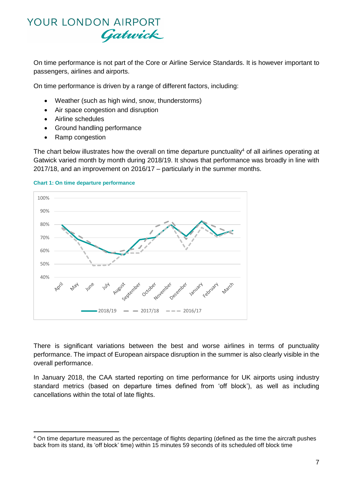On time performance is not part of the Core or Airline Service Standards. It is however important to passengers, airlines and airports.

On time performance is driven by a range of different factors, including:

- Weather (such as high wind, snow, thunderstorms)
- Air space congestion and disruption
- Airline schedules
- Ground handling performance
- Ramp congestion

1

The chart below illustrates how the overall on time departure punctuality<sup>4</sup> of all airlines operating at Gatwick varied month by month during 2018/19. It shows that performance was broadly in line with 2017/18, and an improvement on 2016/17 – particularly in the summer months.



#### **Chart 1: On time departure performance**

There is significant variations between the best and worse airlines in terms of punctuality performance. The impact of European airspace disruption in the summer is also clearly visible in the overall performance.

In January 2018, the CAA started reporting on time performance for UK airports using industry standard metrics (based on departure times defined from 'off block'), as well as including cancellations within the total of late flights.

<sup>4</sup> On time departure measured as the percentage of flights departing (defined as the time the aircraft pushes back from its stand, its 'off block' time) within 15 minutes 59 seconds of its scheduled off block time